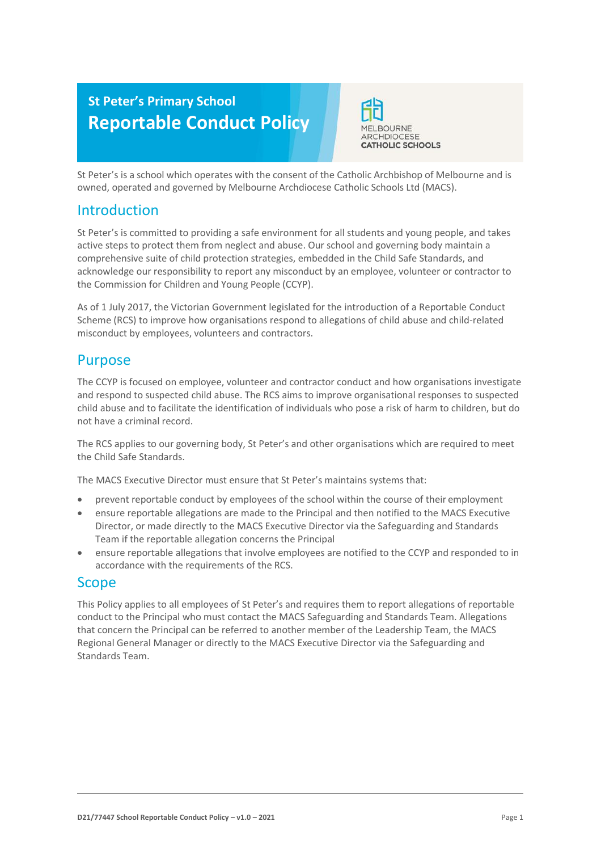# **St Peter's Primary School Reportable Conduct Policy**



St Peter's is a school which operates with the consent of the Catholic Archbishop of Melbourne and is owned, operated and governed by Melbourne Archdiocese Catholic Schools Ltd (MACS).

# **Introduction**

St Peter's is committed to providing a safe environment for all students and young people, and takes active steps to protect them from neglect and abuse. Our school and governing body maintain a comprehensive suite of child protection strategies, embedded in the Child Safe Standards, and acknowledge our responsibility to report any misconduct by an employee, volunteer or contractor to the Commission for Children and Young People (CCYP).

As of 1 July 2017, the Victorian Government legislated for the introduction of a Reportable Conduct Scheme (RCS) to improve how organisations respond to allegations of child abuse and child-related misconduct by employees, volunteers and contractors.

## Purpose

The CCYP is focused on employee, volunteer and contractor conduct and how organisations investigate and respond to suspected child abuse. The RCS aims to improve organisational responses to suspected child abuse and to facilitate the identification of individuals who pose a risk of harm to children, but do not have a criminal record.

The RCS applies to our governing body, St Peter's and other organisations which are required to meet the Child Safe Standards.

The MACS Executive Director must ensure that St Peter's maintains systems that:

- prevent reportable conduct by employees of the school within the course of their employment
- ensure reportable allegations are made to the Principal and then notified to the MACS Executive Director, or made directly to the MACS Executive Director via the Safeguarding and Standards Team if the reportable allegation concerns the Principal
- ensure reportable allegations that involve employees are notified to the CCYP and responded to in accordance with the requirements of the RCS.

## Scope

This Policy applies to all employees of St Peter's and requires them to report allegations of reportable conduct to the Principal who must contact the MACS Safeguarding and Standards Team. Allegations that concern the Principal can be referred to another member of the Leadership Team, the MACS Regional General Manager or directly to the MACS Executive Director via the Safeguarding and Standards Team.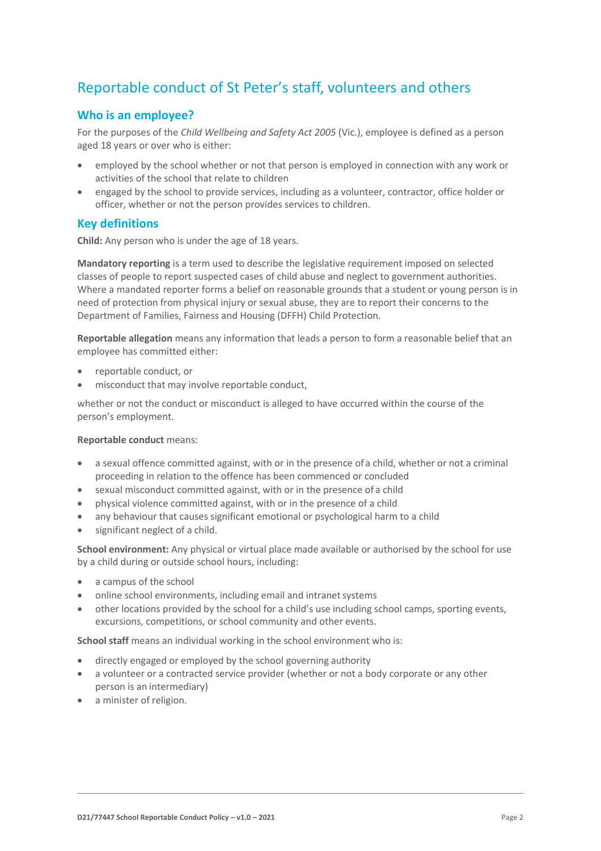# Reportable conduct of St Peter's staff, volunteers and others

## **Who is an employee?**

For the purposes of the *Child Wellbeing and Safety Act 2005* (Vic.), employee is defined as a person aged 18 years or over who is either:

- employed by the school whether or not that person is employed in connection with any work or activities of the school that relate to children
- engaged by the school to provide services, including as a volunteer, contractor, office holder or officer, whether or not the person provides services to children.

## **Key definitions**

**Child:** Any person who is under the age of 18 years.

**Mandatory reporting** is a term used to describe the legislative requirement imposed on selected classes of people to report suspected cases of child abuse and neglect to government authorities. Where a mandated reporter forms a belief on reasonable grounds that a student or young person is in need of protection from physical injury or sexual abuse, they are to report their concerns to the Department of Families, Fairness and Housing (DFFH) Child Protection.

**Reportable allegation** means any information that leads a person to form a reasonable belief that an employee has committed either:

- reportable conduct, or
- misconduct that may involve reportable conduct,

whether or not the conduct or misconduct is alleged to have occurred within the course of the person's employment.

#### **Reportable conduct** means:

- a sexual offence committed against, with or in the presence of a child, whether or not a criminal proceeding in relation to the offence has been commenced or concluded
- sexual misconduct committed against, with or in the presence of a child
- physical violence committed against, with or in the presence of a child
- any behaviour that causes significant emotional or psychological harm to a child
- significant neglect of a child.

**School environment:** Any physical or virtual place made available or authorised by the school for use by a child during or outside school hours, including:

- a campus of the school
- online school environments, including email and intranet systems
- other locations provided by the school for a child's use including school camps, sporting events, excursions, competitions, or school community and other events.

**School staff** means an individual working in the school environment who is:

- directly engaged or employed by the school governing authority
- a volunteer or a contracted service provider (whether or not a body corporate or any other person is an intermediary)
- a minister of religion.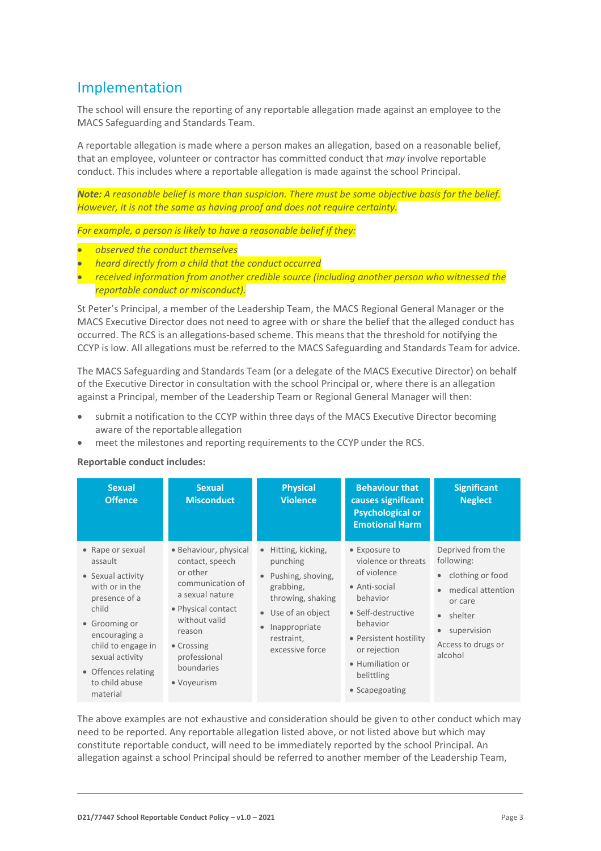# Implementation

The school will ensure the reporting of any reportable allegation made against an employee to the MACS Safeguarding and Standards Team.

A reportable allegation is made where a person makes an allegation, based on a reasonable belief, that an employee, volunteer or contractor has committed conduct that *may* involve reportable conduct. This includes where a reportable allegation is made against the school Principal.

*Note: A reasonable belief is more than suspicion. There must be some objective basis for the belief. However, it is not the same as having proof and does not require certainty.*

*For example, a person is likely to have a reasonable belief if they:*

- *observed the conduct themselves*
- *heard directly from a child that the conduct occurred*
- *received information from another credible source (including another person who witnessed the reportable conduct or misconduct).*

St Peter's Principal, a member of the Leadership Team, the MACS Regional General Manager or the MACS Executive Director does not need to agree with or share the belief that the alleged conduct has occurred. The RCS is an allegations-based scheme. This means that the threshold for notifying the CCYP is low. All allegations must be referred to the MACS Safeguarding and Standards Team for advice.

The MACS Safeguarding and Standards Team (or a delegate of the MACS Executive Director) on behalf of the Executive Director in consultation with the school Principal or, where there is an allegation against a Principal, member of the Leadership Team or Regional General Manager will then:

- submit a notification to the CCYP within three days of the MACS Executive Director becoming aware of the reportable allegation
- meet the milestones and reporting requirements to the CCYP under the RCS.

**Reportable conduct includes:**

| <b>Sexual</b><br><b>Offence</b>                                                                                                                                                                                              | <b>Sexual</b><br><b>Misconduct</b>                                                                                                                                                                      | <b>Physical</b><br><b>Violence</b>                                                                                                                                                                  | <b>Behaviour that</b><br>causes significant<br><b>Psychological or</b><br><b>Emotional Harm</b>                                                                                                                  | <b>Significant</b><br><b>Neglect</b>                                                                                                                                                               |
|------------------------------------------------------------------------------------------------------------------------------------------------------------------------------------------------------------------------------|---------------------------------------------------------------------------------------------------------------------------------------------------------------------------------------------------------|-----------------------------------------------------------------------------------------------------------------------------------------------------------------------------------------------------|------------------------------------------------------------------------------------------------------------------------------------------------------------------------------------------------------------------|----------------------------------------------------------------------------------------------------------------------------------------------------------------------------------------------------|
| • Rape or sexual<br>assault<br>• Sexual activity<br>with or in the<br>presence of a<br>child<br>• Grooming or<br>encouraging a<br>child to engage in<br>sexual activity<br>• Offences relating<br>to child abuse<br>material | • Behaviour, physical<br>contact, speech<br>or other<br>communication of<br>a sexual nature<br>• Physical contact<br>without valid<br>reason<br>• Crossing<br>professional<br>boundaries<br>• Voyeurism | Hitting, kicking,<br>$\bullet$<br>punching<br>Pushing, shoving,<br>$\bullet$<br>grabbing,<br>throwing, shaking<br>• Use of an object<br>Inappropriate<br>$\bullet$<br>restraint,<br>excessive force | • Exposure to<br>violence or threats<br>of violence<br>• Anti-social<br>behavior<br>• Self-destructive<br>behavior<br>• Persistent hostility<br>or rejection<br>• Humiliation or<br>belittling<br>• Scapegoating | Deprived from the<br>following:<br>clothing or food<br>$\bullet$<br>medical attention<br>$\bullet$<br>or care<br>shelter<br>$\bullet$<br>supervision<br>$\bullet$<br>Access to drugs or<br>alcohol |

The above examples are not exhaustive and consideration should be given to other conduct which may need to be reported. Any reportable allegation listed above, or not listed above but which may constitute reportable conduct, will need to be immediately reported by the school Principal. An allegation against a school Principal should be referred to another member of the Leadership Team,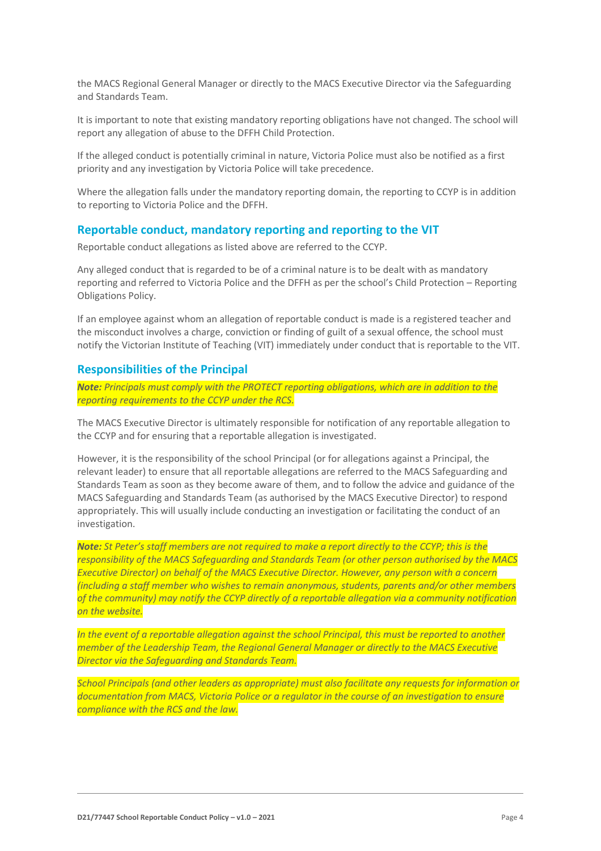the MACS Regional General Manager or directly to the MACS Executive Director via the Safeguarding and Standards Team.

It is important to note that existing mandatory reporting obligations have not changed. The school will report any allegation of abuse to the DFFH Child Protection.

If the alleged conduct is potentially criminal in nature, Victoria Police must also be notified as a first priority and any investigation by Victoria Police will take precedence.

Where the allegation falls under the mandatory reporting domain, the reporting to CCYP is in addition to reporting to Victoria Police and the DFFH.

#### **Reportable conduct, mandatory reporting and reporting to the VIT**

Reportable conduct allegations as listed above are referred to the CCYP.

Any alleged conduct that is regarded to be of a criminal nature is to be dealt with as mandatory reporting and referred to Victoria Police and the DFFH as per the school's Child Protection – Reporting Obligations Policy.

If an employee against whom an allegation of reportable conduct is made is a registered teacher and the misconduct involves a charge, conviction or finding of guilt of a sexual offence, the school must notify the Victorian Institute of Teaching (VIT) immediately under conduct that is reportable to the VIT.

#### **Responsibilities of the Principal**

*Note: Principals must comply with the PROTECT reporting obligations, which are in addition to the reporting requirements to the CCYP under the RCS.*

The MACS Executive Director is ultimately responsible for notification of any reportable allegation to the CCYP and for ensuring that a reportable allegation is investigated.

However, it is the responsibility of the school Principal (or for allegations against a Principal, the relevant leader) to ensure that all reportable allegations are referred to the MACS Safeguarding and Standards Team as soon as they become aware of them, and to follow the advice and guidance of the MACS Safeguarding and Standards Team (as authorised by the MACS Executive Director) to respond appropriately. This will usually include conducting an investigation or facilitating the conduct of an investigation.

*Note: St Peter's staff members are not required to make a report directly to the CCYP; this is the responsibility of the MACS Safeguarding and Standards Team (or other person authorised by the MACS Executive Director) on behalf of the MACS Executive Director. However, any person with a concern (including a staff member who wishes to remain anonymous, students, parents and/or other members of the community) may notify the CCYP directly of a reportable allegation via a community notification on the website.*

*In the event of a reportable allegation against the school Principal, this must be reported to another member of the Leadership Team, the Regional General Manager or directly to the MACS Executive Director via the Safeguarding and Standards Team.*

*School Principals (and other leaders as appropriate) must also facilitate any requests for information or documentation from MACS, Victoria Police or a regulator in the course of an investigation to ensure compliance with the RCS and the law.*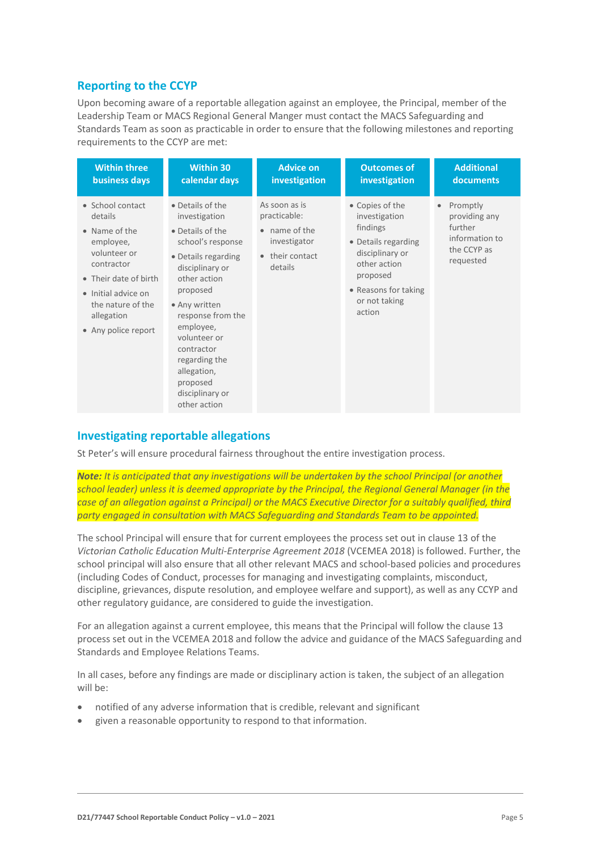## **Reporting to the CCYP**

Upon becoming aware of a reportable allegation against an employee, the Principal, member of the Leadership Team or MACS Regional General Manger must contact the MACS Safeguarding and Standards Team as soon as practicable in order to ensure that the following milestones and reporting requirements to the CCYP are met:

| <b>Within three</b>                                                                                                                                                                               | <b>Within 30</b>                                                                                                                                                                                                                                                                                                 | <b>Advice on</b>                                                                             | <b>Outcomes of</b>                                                                                                                                                    | <b>Additional</b>                                                                  |
|---------------------------------------------------------------------------------------------------------------------------------------------------------------------------------------------------|------------------------------------------------------------------------------------------------------------------------------------------------------------------------------------------------------------------------------------------------------------------------------------------------------------------|----------------------------------------------------------------------------------------------|-----------------------------------------------------------------------------------------------------------------------------------------------------------------------|------------------------------------------------------------------------------------|
| business days                                                                                                                                                                                     | calendar days                                                                                                                                                                                                                                                                                                    | investigation                                                                                | investigation                                                                                                                                                         | documents                                                                          |
| • School contact<br>details<br>• Name of the<br>employee,<br>volunteer or<br>contractor<br>• Their date of birth<br>• Initial advice on<br>the nature of the<br>allegation<br>• Any police report | • Details of the<br>investigation<br>• Details of the<br>school's response<br>• Details regarding<br>disciplinary or<br>other action<br>proposed<br>• Any written<br>response from the<br>employee,<br>volunteer or<br>contractor<br>regarding the<br>allegation,<br>proposed<br>disciplinary or<br>other action | As soon as is<br>practicable:<br>• name of the<br>investigator<br>• their contact<br>details | • Copies of the<br>investigation<br>findings<br>• Details regarding<br>disciplinary or<br>other action<br>proposed<br>• Reasons for taking<br>or not taking<br>action | Promptly<br>providing any<br>further<br>information to<br>the CCYP as<br>requested |

## **Investigating reportable allegations**

St Peter's will ensure procedural fairness throughout the entire investigation process.

*Note: It is anticipated that any investigations will be undertaken by the school Principal (or another school leader) unless it is deemed appropriate by the Principal, the Regional General Manager (in the case of an allegation against a Principal) or the MACS Executive Director for a suitably qualified, third party engaged in consultation with MACS Safeguarding and Standards Team to be appointed.*

The school Principal will ensure that for current employees the process set out in clause 13 of the *Victorian Catholic Education Multi-Enterprise Agreement 2018* (VCEMEA 2018) is followed. Further, the school principal will also ensure that all other relevant MACS and school-based policies and procedures (including Codes of Conduct, processes for managing and investigating complaints, misconduct, discipline, grievances, dispute resolution, and employee welfare and support), as well as any CCYP and other regulatory guidance, are considered to guide the investigation.

For an allegation against a current employee, this means that the Principal will follow the clause 13 process set out in the VCEMEA 2018 and follow the advice and guidance of the MACS Safeguarding and Standards and Employee Relations Teams.

In all cases, before any findings are made or disciplinary action is taken, the subject of an allegation will be:

- notified of any adverse information that is credible, relevant and significant
- given a reasonable opportunity to respond to that information.